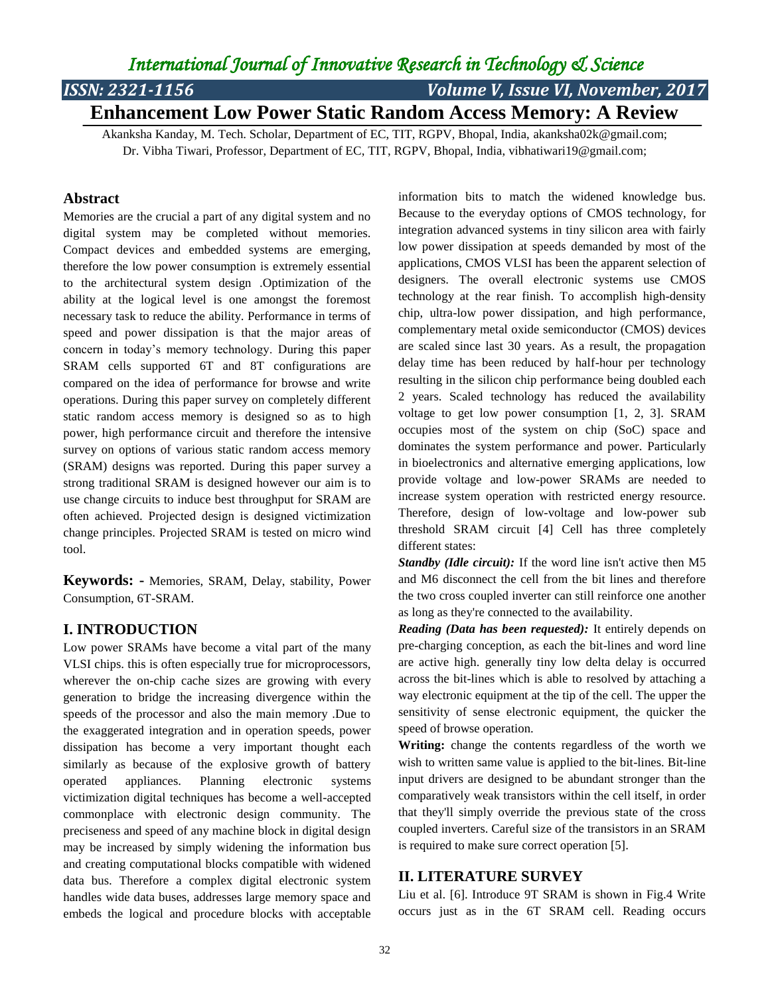# *ISSN: 2321-1156 Volume V, Issue VI, November, 2017*

# **Enhancement Low Power Static Random Access Memory: A Review**

Akanksha Kanday, M. Tech. Scholar, Department of EC, TIT, RGPV, Bhopal, India, akanksha02k@gmail.com; Dr. Vibha Tiwari, Professor, Department of EC, TIT, RGPV, Bhopal, India, vibhatiwari19@gmail.com;

#### **Abstract**

Memories are the crucial a part of any digital system and no digital system may be completed without memories. Compact devices and embedded systems are emerging, therefore the low power consumption is extremely essential to the architectural system design .Optimization of the ability at the logical level is one amongst the foremost necessary task to reduce the ability. Performance in terms of speed and power dissipation is that the major areas of concern in today's memory technology. During this paper SRAM cells supported 6T and 8T configurations are compared on the idea of performance for browse and write operations. During this paper survey on completely different static random access memory is designed so as to high power, high performance circuit and therefore the intensive survey on options of various static random access memory (SRAM) designs was reported. During this paper survey a strong traditional SRAM is designed however our aim is to use change circuits to induce best throughput for SRAM are often achieved. Projected design is designed victimization change principles. Projected SRAM is tested on micro wind tool.

**Keywords: -** Memories, SRAM, Delay, stability, Power Consumption, 6T-SRAM.

#### **I. INTRODUCTION**

Low power SRAMs have become a vital part of the many VLSI chips. this is often especially true for microprocessors, wherever the on-chip cache sizes are growing with every generation to bridge the increasing divergence within the speeds of the processor and also the main memory .Due to the exaggerated integration and in operation speeds, power dissipation has become a very important thought each similarly as because of the explosive growth of battery operated appliances. Planning electronic systems victimization digital techniques has become a well-accepted commonplace with electronic design community. The preciseness and speed of any machine block in digital design may be increased by simply widening the information bus and creating computational blocks compatible with widened data bus. Therefore a complex digital electronic system handles wide data buses, addresses large memory space and embeds the logical and procedure blocks with acceptable

information bits to match the widened knowledge bus. Because to the everyday options of CMOS technology, for integration advanced systems in tiny silicon area with fairly low power dissipation at speeds demanded by most of the applications, CMOS VLSI has been the apparent selection of designers. The overall electronic systems use CMOS technology at the rear finish. To accomplish high-density chip, ultra-low power dissipation, and high performance, complementary metal oxide semiconductor (CMOS) devices are scaled since last 30 years. As a result, the propagation delay time has been reduced by half-hour per technology resulting in the silicon chip performance being doubled each 2 years. Scaled technology has reduced the availability voltage to get low power consumption [1, 2, 3]. SRAM occupies most of the system on chip (SoC) space and dominates the system performance and power. Particularly in bioelectronics and alternative emerging applications, low provide voltage and low-power SRAMs are needed to increase system operation with restricted energy resource. Therefore, design of low-voltage and low-power sub threshold SRAM circuit [4] Cell has three completely different states:

*Standby (Idle circuit):* If the word line isn't active then M5 and M6 disconnect the cell from the bit lines and therefore the two cross coupled inverter can still reinforce one another as long as they're connected to the availability.

*Reading (Data has been requested):* It entirely depends on pre-charging conception, as each the bit-lines and word line are active high. generally tiny low delta delay is occurred across the bit-lines which is able to resolved by attaching a way electronic equipment at the tip of the cell. The upper the sensitivity of sense electronic equipment, the quicker the speed of browse operation.

**Writing:** change the contents regardless of the worth we wish to written same value is applied to the bit-lines. Bit-line input drivers are designed to be abundant stronger than the comparatively weak transistors within the cell itself, in order that they'll simply override the previous state of the cross coupled inverters. Careful size of the transistors in an SRAM is required to make sure correct operation [5].

#### **II. LITERATURE SURVEY**

Liu et al. [6]. Introduce 9T SRAM is shown in Fig.4 Write occurs just as in the 6T SRAM cell. Reading occurs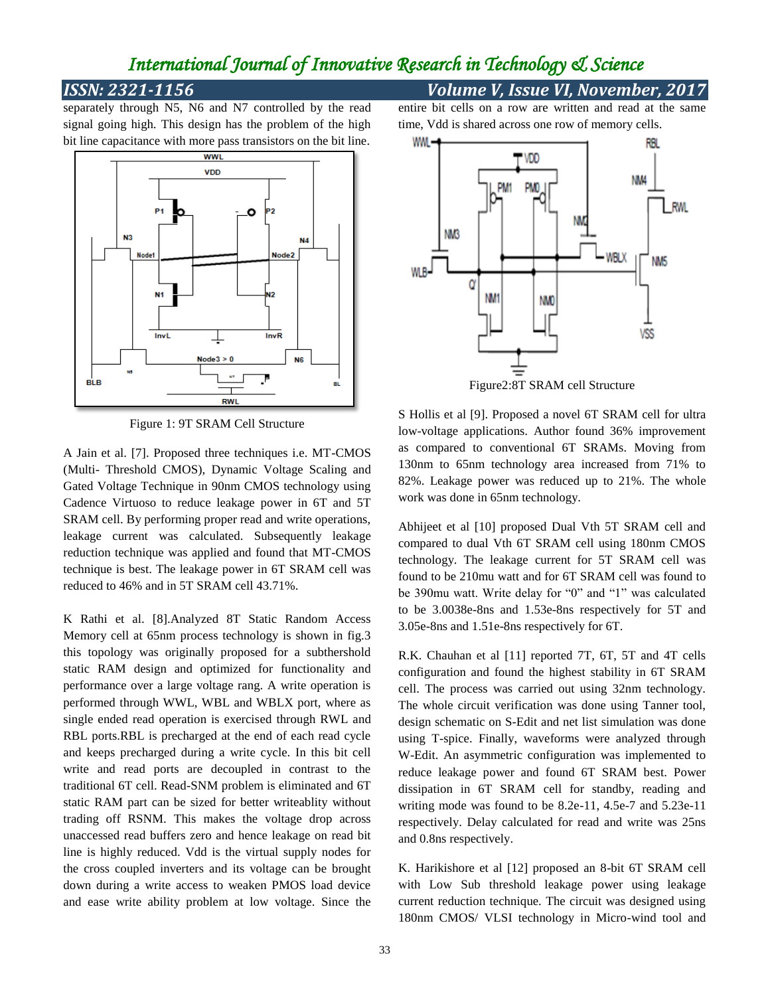### *ISSN: 2321-1156 Volume V, Issue VI, November, 2017*

separately through N5, N6 and N7 controlled by the read signal going high. This design has the problem of the high bit line capacitance with more pass transistors on the bit line.



Figure 1: 9T SRAM Cell Structure

A Jain et al. [7]. Proposed three techniques i.e. MT-CMOS (Multi- Threshold CMOS), Dynamic Voltage Scaling and Gated Voltage Technique in 90nm CMOS technology using Cadence Virtuoso to reduce leakage power in 6T and 5T SRAM cell. By performing proper read and write operations, leakage current was calculated. Subsequently leakage reduction technique was applied and found that MT-CMOS technique is best. The leakage power in 6T SRAM cell was reduced to 46% and in 5T SRAM cell 43.71%.

K Rathi et al. [8].Analyzed 8T Static Random Access Memory cell at 65nm process technology is shown in fig.3 this topology was originally proposed for a subthershold static RAM design and optimized for functionality and performance over a large voltage rang. A write operation is performed through WWL, WBL and WBLX port, where as single ended read operation is exercised through RWL and RBL ports.RBL is precharged at the end of each read cycle and keeps precharged during a write cycle. In this bit cell write and read ports are decoupled in contrast to the traditional 6T cell. Read-SNM problem is eliminated and 6T static RAM part can be sized for better writeablity without trading off RSNM. This makes the voltage drop across unaccessed read buffers zero and hence leakage on read bit line is highly reduced. Vdd is the virtual supply nodes for the cross coupled inverters and its voltage can be brought down during a write access to weaken PMOS load device and ease write ability problem at low voltage. Since the entire bit cells on a row are written and read at the same time, Vdd is shared across one row of memory cells.



S Hollis et al [9]. Proposed a novel 6T SRAM cell for ultra low-voltage applications. Author found 36% improvement as compared to conventional 6T SRAMs. Moving from 130nm to 65nm technology area increased from 71% to 82%. Leakage power was reduced up to 21%. The whole work was done in 65nm technology.

Abhijeet et al [10] proposed Dual Vth 5T SRAM cell and compared to dual Vth 6T SRAM cell using 180nm CMOS technology. The leakage current for 5T SRAM cell was found to be 210mu watt and for 6T SRAM cell was found to be 390mu watt. Write delay for "0" and "1" was calculated to be 3.0038e-8ns and 1.53e-8ns respectively for 5T and 3.05e-8ns and 1.51e-8ns respectively for 6T.

R.K. Chauhan et al [11] reported 7T, 6T, 5T and 4T cells configuration and found the highest stability in 6T SRAM cell. The process was carried out using 32nm technology. The whole circuit verification was done using Tanner tool, design schematic on S-Edit and net list simulation was done using T-spice. Finally, waveforms were analyzed through W-Edit. An asymmetric configuration was implemented to reduce leakage power and found 6T SRAM best. Power dissipation in 6T SRAM cell for standby, reading and writing mode was found to be 8.2e-11, 4.5e-7 and 5.23e-11 respectively. Delay calculated for read and write was 25ns and 0.8ns respectively.

K. Harikishore et al [12] proposed an 8-bit 6T SRAM cell with Low Sub threshold leakage power using leakage current reduction technique. The circuit was designed using 180nm CMOS/ VLSI technology in Micro-wind tool and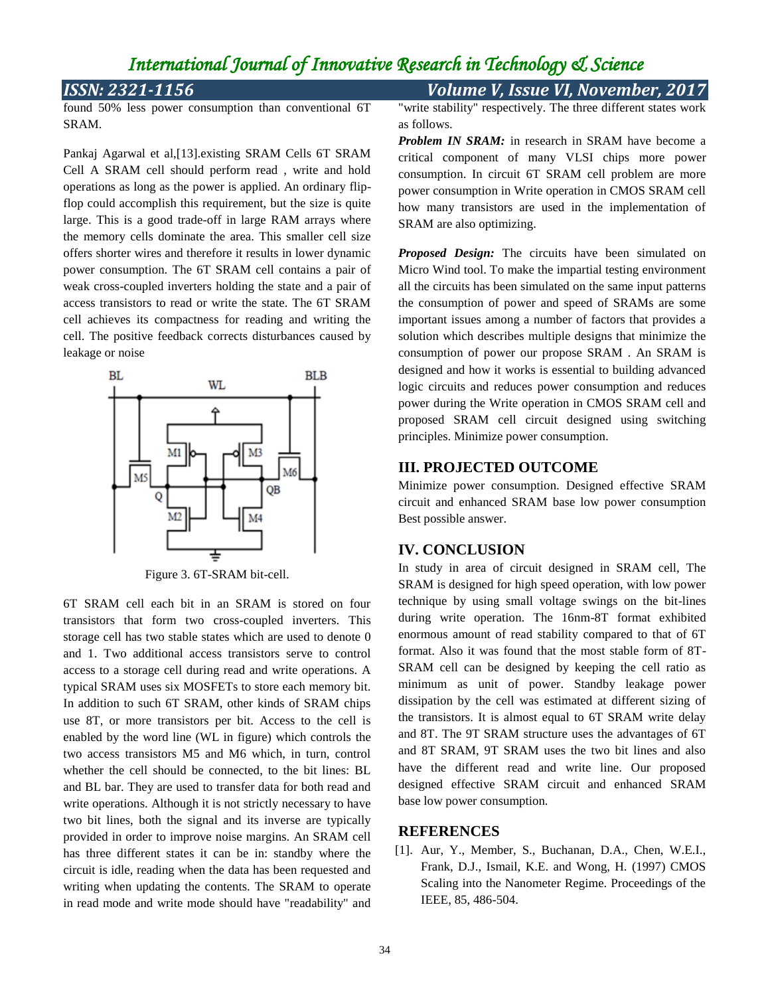as follows.

### *ISSN: 2321-1156 Volume V, Issue VI, November, 2017*

found 50% less power consumption than conventional 6T SRAM.

Pankaj Agarwal et al,[13].existing SRAM Cells 6T SRAM Cell A SRAM cell should perform read , write and hold operations as long as the power is applied. An ordinary flipflop could accomplish this requirement, but the size is quite large. This is a good trade-off in large RAM arrays where the memory cells dominate the area. This smaller cell size offers shorter wires and therefore it results in lower dynamic power consumption. The 6T SRAM cell contains a pair of weak cross-coupled inverters holding the state and a pair of access transistors to read or write the state. The 6T SRAM cell achieves its compactness for reading and writing the cell. The positive feedback corrects disturbances caused by leakage or noise



Figure 3. 6T-SRAM bit-cell.

6T SRAM cell each bit in an SRAM is stored on four transistors that form two cross-coupled inverters. This storage cell has two stable states which are used to denote 0 and 1. Two additional access transistors serve to control access to a storage cell during read and write operations. A typical SRAM uses six MOSFETs to store each memory bit. In addition to such 6T SRAM, other kinds of SRAM chips use 8T, or more transistors per bit. Access to the cell is enabled by the word line (WL in figure) which controls the two access transistors M5 and M6 which, in turn, control whether the cell should be connected, to the bit lines: BL and BL bar. They are used to transfer data for both read and write operations. Although it is not strictly necessary to have two bit lines, both the signal and its inverse are typically provided in order to improve noise margins. An SRAM cell has three different states it can be in: standby where the circuit is idle, reading when the data has been requested and writing when updating the contents. The SRAM to operate in read mode and write mode should have "readability" and "write stability" respectively. The three different states work

*Problem IN SRAM:* in research in SRAM have become a critical component of many VLSI chips more power consumption. In circuit 6T SRAM cell problem are more power consumption in Write operation in CMOS SRAM cell how many transistors are used in the implementation of SRAM are also optimizing.

*Proposed Design:* The circuits have been simulated on Micro Wind tool. To make the impartial testing environment all the circuits has been simulated on the same input patterns the consumption of power and speed of SRAMs are some important issues among a number of factors that provides a solution which describes multiple designs that minimize the consumption of power our propose SRAM . An SRAM is designed and how it works is essential to building advanced logic circuits and reduces power consumption and reduces power during the Write operation in CMOS SRAM cell and proposed SRAM cell circuit designed using switching principles. Minimize power consumption.

### **III. PROJECTED OUTCOME**

Minimize power consumption. Designed effective SRAM circuit and enhanced SRAM base low power consumption Best possible answer.

### **IV. CONCLUSION**

In study in area of circuit designed in SRAM cell, The SRAM is designed for high speed operation, with low power technique by using small voltage swings on the bit-lines during write operation. The 16nm-8T format exhibited enormous amount of read stability compared to that of 6T format. Also it was found that the most stable form of 8T-SRAM cell can be designed by keeping the cell ratio as minimum as unit of power. Standby leakage power dissipation by the cell was estimated at different sizing of the transistors. It is almost equal to 6T SRAM write delay and 8T. The 9T SRAM structure uses the advantages of 6T and 8T SRAM, 9T SRAM uses the two bit lines and also have the different read and write line. Our proposed designed effective SRAM circuit and enhanced SRAM base low power consumption.

#### **REFERENCES**

[1]. Aur, Y., Member, S., Buchanan, D.A., Chen, W.E.I., Frank, D.J., Ismail, K.E. and Wong, H. (1997) CMOS Scaling into the Nanometer Regime. Proceedings of the IEEE, 85, 486-504.